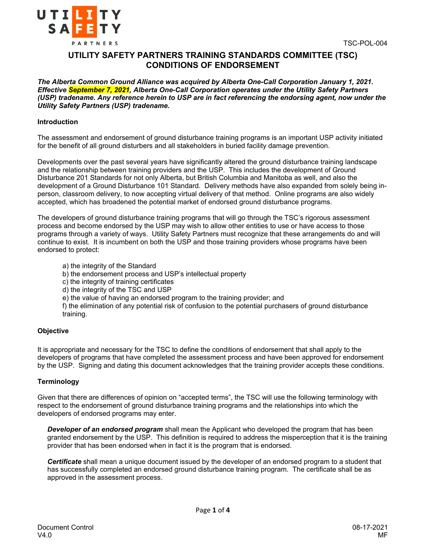



# **UTILITY SAFETY PARTNERS TRAINING STANDARDS COMMITTEE (TSC) CONDITIONS OF ENDORSEMENT**

*The Alberta Common Ground Alliance was acquired by Alberta One-Call Corporation January 1, 2021. Effective September 7, 2021, Alberta One-Call Corporation operates under the Utility Safety Partners (USP) tradename. Any reference herein to USP are in fact referencing the endorsing agent, now under the Utility Safety Partners (USP) tradename.*

#### **Introduction**

The assessment and endorsement of ground disturbance training programs is an important USP activity initiated for the benefit of all ground disturbers and all stakeholders in buried facility damage prevention.

Developments over the past several years have significantly altered the ground disturbance training landscape and the relationship between training providers and the USP. This includes the development of Ground Disturbance 201 Standards for not only Alberta, but British Columbia and Manitoba as well, and also the development of a Ground Disturbance 101 Standard. Delivery methods have also expanded from solely being inperson, classroom delivery, to now accepting virtual delivery of that method. Online programs are also widely accepted, which has broadened the potential market of endorsed ground disturbance programs.

The developers of ground disturbance training programs that will go through the TSC's rigorous assessment process and become endorsed by the USP may wish to allow other entities to use or have access to those programs through a variety of ways. Utility Safety Partners must recognize that these arrangements do and will continue to exist. It is incumbent on both the USP and those training providers whose programs have been endorsed to protect:

- a) the integrity of the Standard
- b) the endorsement process and USP's intellectual property
- c) the integrity of training certificates
- d) the integrity of the TSC and USP
- e) the value of having an endorsed program to the training provider; and

f) the elimination of any potential risk of confusion to the potential purchasers of ground disturbance training.

## **Objective**

It is appropriate and necessary for the TSC to define the conditions of endorsement that shall apply to the developers of programs that have completed the assessment process and have been approved for endorsement by the USP. Signing and dating this document acknowledges that the training provider accepts these conditions.

## **Terminology**

Given that there are differences of opinion on "accepted terms", the TSC will use the following terminology with respect to the endorsement of ground disturbance training programs and the relationships into which the developers of endorsed programs may enter.

**Developer of an endorsed program** shall mean the Applicant who developed the program that has been granted endorsement by the USP. This definition is required to address the misperception that it is the training provider that has been endorsed when in fact it is the program that is endorsed.

*Certificate* shall mean a unique document issued by the developer of an endorsed program to a student that has successfully completed an endorsed ground disturbance training program. The certificate shall be as approved in the assessment process.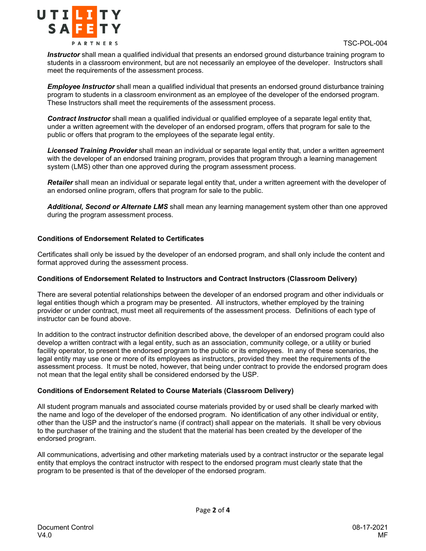

*Instructor* shall mean a qualified individual that presents an endorsed ground disturbance training program to students in a classroom environment, but are not necessarily an employee of the developer. Instructors shall meet the requirements of the assessment process.

*Employee Instructor* shall mean a qualified individual that presents an endorsed ground disturbance training program to students in a classroom environment as an employee of the developer of the endorsed program. These Instructors shall meet the requirements of the assessment process.

*Contract Instructor* shall mean a qualified individual or qualified employee of a separate legal entity that, under a written agreement with the developer of an endorsed program, offers that program for sale to the public or offers that program to the employees of the separate legal entity.

*Licensed Training Provider* shall mean an individual or separate legal entity that, under a written agreement with the developer of an endorsed training program, provides that program through a learning management system (LMS) other than one approved during the program assessment process.

*Retailer* shall mean an individual or separate legal entity that, under a written agreement with the developer of an endorsed online program, offers that program for sale to the public.

*Additional, Second or Alternate LMS* shall mean any learning management system other than one approved during the program assessment process.

## **Conditions of Endorsement Related to Certificates**

Certificates shall only be issued by the developer of an endorsed program, and shall only include the content and format approved during the assessment process.

## **Conditions of Endorsement Related to Instructors and Contract Instructors (Classroom Delivery)**

There are several potential relationships between the developer of an endorsed program and other individuals or legal entities though which a program may be presented. All instructors, whether employed by the training provider or under contract, must meet all requirements of the assessment process. Definitions of each type of instructor can be found above.

In addition to the contract instructor definition described above, the developer of an endorsed program could also develop a written contract with a legal entity, such as an association, community college, or a utility or buried facility operator, to present the endorsed program to the public or its employees. In any of these scenarios, the legal entity may use one or more of its employees as instructors, provided they meet the requirements of the assessment process. It must be noted, however, that being under contract to provide the endorsed program does not mean that the legal entity shall be considered endorsed by the USP.

## **Conditions of Endorsement Related to Course Materials (Classroom Delivery)**

All student program manuals and associated course materials provided by or used shall be clearly marked with the name and logo of the developer of the endorsed program. No identification of any other individual or entity, other than the USP and the instructor's name (if contract) shall appear on the materials. It shall be very obvious to the purchaser of the training and the student that the material has been created by the developer of the endorsed program.

All communications, advertising and other marketing materials used by a contract instructor or the separate legal entity that employs the contract instructor with respect to the endorsed program must clearly state that the program to be presented is that of the developer of the endorsed program.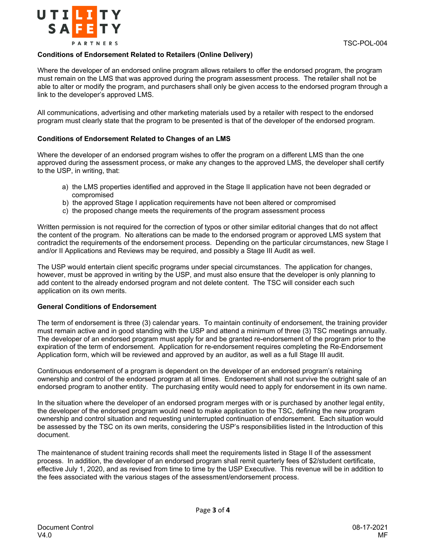

#### **Conditions of Endorsement Related to Retailers (Online Delivery)**

Where the developer of an endorsed online program allows retailers to offer the endorsed program, the program must remain on the LMS that was approved during the program assessment process. The retailer shall not be able to alter or modify the program, and purchasers shall only be given access to the endorsed program through a link to the developer's approved LMS.

All communications, advertising and other marketing materials used by a retailer with respect to the endorsed program must clearly state that the program to be presented is that of the developer of the endorsed program.

#### **Conditions of Endorsement Related to Changes of an LMS**

Where the developer of an endorsed program wishes to offer the program on a different LMS than the one approved during the assessment process, or make any changes to the approved LMS, the developer shall certify to the USP, in writing, that:

- a) the LMS properties identified and approved in the Stage II application have not been degraded or compromised
- b) the approved Stage I application requirements have not been altered or compromised
- c) the proposed change meets the requirements of the program assessment process

Written permission is not required for the correction of typos or other similar editorial changes that do not affect the content of the program. No alterations can be made to the endorsed program or approved LMS system that contradict the requirements of the endorsement process. Depending on the particular circumstances, new Stage I and/or II Applications and Reviews may be required, and possibly a Stage III Audit as well.

The USP would entertain client specific programs under special circumstances. The application for changes, however, must be approved in writing by the USP, and must also ensure that the developer is only planning to add content to the already endorsed program and not delete content. The TSC will consider each such application on its own merits.

#### **General Conditions of Endorsement**

The term of endorsement is three (3) calendar years. To maintain continuity of endorsement, the training provider must remain active and in good standing with the USP and attend a minimum of three (3) TSC meetings annually. The developer of an endorsed program must apply for and be granted re-endorsement of the program prior to the expiration of the term of endorsement. Application for re-endorsement requires completing the Re-Endorsement Application form, which will be reviewed and approved by an auditor, as well as a full Stage III audit.

Continuous endorsement of a program is dependent on the developer of an endorsed program's retaining ownership and control of the endorsed program at all times. Endorsement shall not survive the outright sale of an endorsed program to another entity. The purchasing entity would need to apply for endorsement in its own name.

In the situation where the developer of an endorsed program merges with or is purchased by another legal entity, the developer of the endorsed program would need to make application to the TSC, defining the new program ownership and control situation and requesting uninterrupted continuation of endorsement. Each situation would be assessed by the TSC on its own merits, considering the USP's responsibilities listed in the Introduction of this document.

The maintenance of student training records shall meet the requirements listed in Stage II of the assessment process. In addition, the developer of an endorsed program shall remit quarterly fees of \$2/student certificate, effective July 1, 2020, and as revised from time to time by the USP Executive. This revenue will be in addition to the fees associated with the various stages of the assessment/endorsement process.